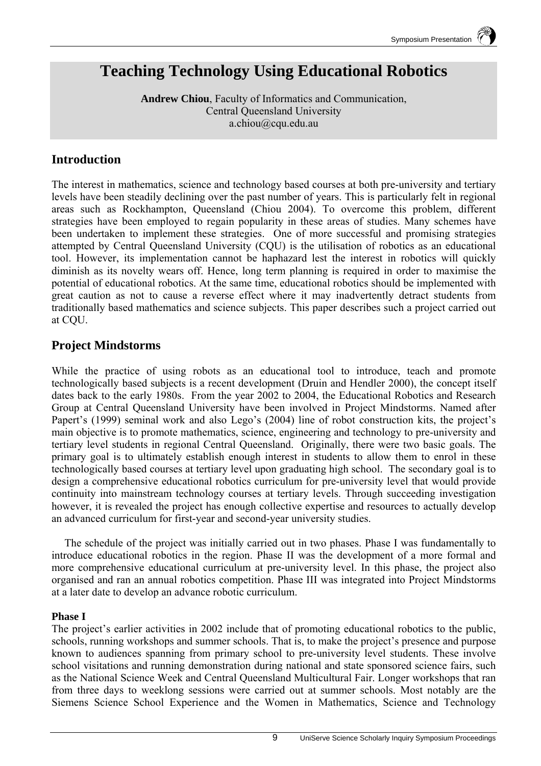# **Teaching Technology Using Educational Robotics**

**Andrew Chiou**, Faculty of Informatics and Communication, Central Queensland University a.chiou@cqu.edu.au

## **Introduction**

The interest in mathematics, science and technology based courses at both pre-university and tertiary levels have been steadily declining over the past number of years. This is particularly felt in regional areas such as Rockhampton, Queensland (Chiou 2004). To overcome this problem, different strategies have been employed to regain popularity in these areas of studies. Many schemes have been undertaken to implement these strategies. One of more successful and promising strategies attempted by Central Queensland University (CQU) is the utilisation of robotics as an educational tool. However, its implementation cannot be haphazard lest the interest in robotics will quickly diminish as its novelty wears off. Hence, long term planning is required in order to maximise the potential of educational robotics. At the same time, educational robotics should be implemented with great caution as not to cause a reverse effect where it may inadvertently detract students from traditionally based mathematics and science subjects. This paper describes such a project carried out at CQU.

## **Project Mindstorms**

While the practice of using robots as an educational tool to introduce, teach and promote technologically based subjects is a recent development (Druin and Hendler 2000), the concept itself dates back to the early 1980s. From the year 2002 to 2004, the Educational Robotics and Research Group at Central Queensland University have been involved in Project Mindstorms. Named after Papert's (1999) seminal work and also Lego's (2004) line of robot construction kits, the project's main objective is to promote mathematics, science, engineering and technology to pre-university and tertiary level students in regional Central Queensland. Originally, there were two basic goals. The primary goal is to ultimately establish enough interest in students to allow them to enrol in these technologically based courses at tertiary level upon graduating high school. The secondary goal is to design a comprehensive educational robotics curriculum for pre-university level that would provide continuity into mainstream technology courses at tertiary levels. Through succeeding investigation however, it is revealed the project has enough collective expertise and resources to actually develop an advanced curriculum for first-year and second-year university studies.

The schedule of the project was initially carried out in two phases. Phase I was fundamentally to introduce educational robotics in the region. Phase II was the development of a more formal and more comprehensive educational curriculum at pre-university level. In this phase, the project also organised and ran an annual robotics competition. Phase III was integrated into Project Mindstorms at a later date to develop an advance robotic curriculum.

#### **Phase I**

The project's earlier activities in 2002 include that of promoting educational robotics to the public, schools, running workshops and summer schools. That is, to make the project's presence and purpose known to audiences spanning from primary school to pre-university level students. These involve school visitations and running demonstration during national and state sponsored science fairs, such as the National Science Week and Central Queensland Multicultural Fair. Longer workshops that ran from three days to weeklong sessions were carried out at summer schools. Most notably are the Siemens Science School Experience and the Women in Mathematics, Science and Technology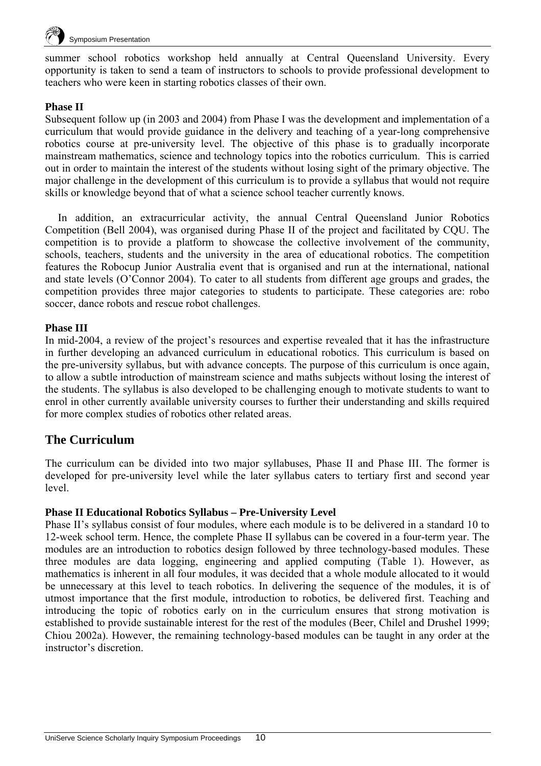

summer school robotics workshop held annually at Central Queensland University. Every opportunity is taken to send a team of instructors to schools to provide professional development to teachers who were keen in starting robotics classes of their own.

#### **Phase II**

Subsequent follow up (in 2003 and 2004) from Phase I was the development and implementation of a curriculum that would provide guidance in the delivery and teaching of a year-long comprehensive robotics course at pre-university level. The objective of this phase is to gradually incorporate mainstream mathematics, science and technology topics into the robotics curriculum. This is carried out in order to maintain the interest of the students without losing sight of the primary objective. The major challenge in the development of this curriculum is to provide a syllabus that would not require skills or knowledge beyond that of what a science school teacher currently knows.

In addition, an extracurricular activity, the annual Central Queensland Junior Robotics Competition (Bell 2004), was organised during Phase II of the project and facilitated by CQU. The competition is to provide a platform to showcase the collective involvement of the community, schools, teachers, students and the university in the area of educational robotics. The competition features the Robocup Junior Australia event that is organised and run at the international, national and state levels (O'Connor 2004). To cater to all students from different age groups and grades, the competition provides three major categories to students to participate. These categories are: robo soccer, dance robots and rescue robot challenges.

#### **Phase III**

In mid-2004, a review of the project's resources and expertise revealed that it has the infrastructure in further developing an advanced curriculum in educational robotics. This curriculum is based on the pre-university syllabus, but with advance concepts. The purpose of this curriculum is once again, to allow a subtle introduction of mainstream science and maths subjects without losing the interest of the students. The syllabus is also developed to be challenging enough to motivate students to want to enrol in other currently available university courses to further their understanding and skills required for more complex studies of robotics other related areas.

#### **The Curriculum**

The curriculum can be divided into two major syllabuses, Phase II and Phase III. The former is developed for pre-university level while the later syllabus caters to tertiary first and second year level.

#### **Phase II Educational Robotics Syllabus – Pre-University Level**

Phase II's syllabus consist of four modules, where each module is to be delivered in a standard 10 to 12-week school term. Hence, the complete Phase II syllabus can be covered in a four-term year. The modules are an introduction to robotics design followed by three technology-based modules. These three modules are data logging, engineering and applied computing (Table 1). However, as mathematics is inherent in all four modules, it was decided that a whole module allocated to it would be unnecessary at this level to teach robotics. In delivering the sequence of the modules, it is of utmost importance that the first module, introduction to robotics, be delivered first. Teaching and introducing the topic of robotics early on in the curriculum ensures that strong motivation is established to provide sustainable interest for the rest of the modules (Beer, Chilel and Drushel 1999; Chiou 2002a). However, the remaining technology-based modules can be taught in any order at the instructor's discretion.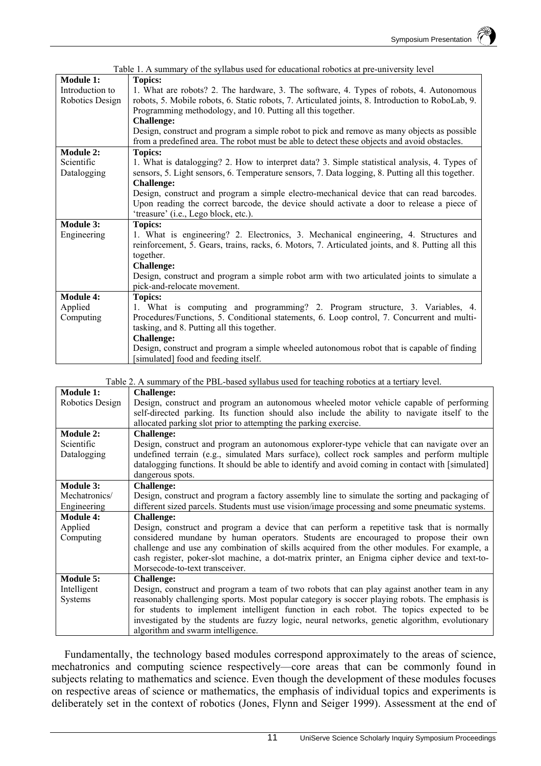| Table 1. A summary of the syllabus used for educational robotics at pre-university level |                                                                                                   |
|------------------------------------------------------------------------------------------|---------------------------------------------------------------------------------------------------|
| <b>Module 1:</b>                                                                         | <b>Topics:</b>                                                                                    |
| Introduction to                                                                          | 1. What are robots? 2. The hardware, 3. The software, 4. Types of robots, 4. Autonomous           |
| Robotics Design                                                                          | robots, 5. Mobile robots, 6. Static robots, 7. Articulated joints, 8. Introduction to RoboLab, 9. |
|                                                                                          | Programming methodology, and 10. Putting all this together.                                       |
|                                                                                          | <b>Challenge:</b>                                                                                 |
|                                                                                          | Design, construct and program a simple robot to pick and remove as many objects as possible       |
|                                                                                          | from a predefined area. The robot must be able to detect these objects and avoid obstacles.       |
| <b>Module 2:</b>                                                                         | <b>Topics:</b>                                                                                    |
| Scientific                                                                               | 1. What is datalogging? 2. How to interpret data? 3. Simple statistical analysis, 4. Types of     |
| Datalogging                                                                              | sensors, 5. Light sensors, 6. Temperature sensors, 7. Data logging, 8. Putting all this together. |
|                                                                                          | <b>Challenge:</b>                                                                                 |
|                                                                                          | Design, construct and program a simple electro-mechanical device that can read barcodes.          |
|                                                                                          | Upon reading the correct barcode, the device should activate a door to release a piece of         |
|                                                                                          | 'treasure' (i.e., Lego block, etc.).                                                              |
| <b>Module 3:</b>                                                                         | <b>Topics:</b>                                                                                    |
| Engineering                                                                              | 1. What is engineering? 2. Electronics, 3. Mechanical engineering, 4. Structures and              |
|                                                                                          | reinforcement, 5. Gears, trains, racks, 6. Motors, 7. Articulated joints, and 8. Putting all this |
|                                                                                          | together.                                                                                         |
|                                                                                          | <b>Challenge:</b>                                                                                 |
|                                                                                          | Design, construct and program a simple robot arm with two articulated joints to simulate a        |
|                                                                                          | pick-and-relocate movement.                                                                       |
| <b>Module 4:</b>                                                                         | <b>Topics:</b>                                                                                    |
| Applied                                                                                  | 1. What is computing and programming? 2. Program structure, 3. Variables, 4.                      |
| Computing                                                                                | Procedures/Functions, 5. Conditional statements, 6. Loop control, 7. Concurrent and multi-        |
|                                                                                          | tasking, and 8. Putting all this together.                                                        |
|                                                                                          | <b>Challenge:</b>                                                                                 |
|                                                                                          | Design, construct and program a simple wheeled autonomous robot that is capable of finding        |
|                                                                                          | [simulated] food and feeding itself.                                                              |

Table 2. A summary of the PBL-based syllabus used for teaching robotics at a tertiary level.

| <b>Module 1:</b> | <b>Challenge:</b>                                                                                 |
|------------------|---------------------------------------------------------------------------------------------------|
| Robotics Design  | Design, construct and program an autonomous wheeled motor vehicle capable of performing           |
|                  | self-directed parking. Its function should also include the ability to navigate itself to the     |
|                  | allocated parking slot prior to attempting the parking exercise.                                  |
| Module 2:        | <b>Challenge:</b>                                                                                 |
| Scientific       | Design, construct and program an autonomous explorer-type vehicle that can navigate over an       |
| Datalogging      | undefined terrain (e.g., simulated Mars surface), collect rock samples and perform multiple       |
|                  | datalogging functions. It should be able to identify and avoid coming in contact with [simulated] |
|                  | dangerous spots.                                                                                  |
| <b>Module 3:</b> | <b>Challenge:</b>                                                                                 |
| Mechatronics/    | Design, construct and program a factory assembly line to simulate the sorting and packaging of    |
| Engineering      | different sized parcels. Students must use vision/image processing and some pneumatic systems.    |
| <b>Module 4:</b> | <b>Challenge:</b>                                                                                 |
| Applied          | Design, construct and program a device that can perform a repetitive task that is normally        |
| Computing        | considered mundane by human operators. Students are encouraged to propose their own               |
|                  | challenge and use any combination of skills acquired from the other modules. For example, a       |
|                  | cash register, poker-slot machine, a dot-matrix printer, an Enigma cipher device and text-to-     |
|                  | Morsecode-to-text transceiver.                                                                    |
| Module 5:        | <b>Challenge:</b>                                                                                 |
| Intelligent      | Design, construct and program a team of two robots that can play against another team in any      |
| Systems          | reasonably challenging sports. Most popular category is soccer playing robots. The emphasis is    |
|                  | for students to implement intelligent function in each robot. The topics expected to be           |
|                  | investigated by the students are fuzzy logic, neural networks, genetic algorithm, evolutionary    |
|                  | algorithm and swarm intelligence.                                                                 |

Fundamentally, the technology based modules correspond approximately to the areas of science, mechatronics and computing science respectively—core areas that can be commonly found in subjects relating to mathematics and science. Even though the development of these modules focuses on respective areas of science or mathematics, the emphasis of individual topics and experiments is deliberately set in the context of robotics (Jones, Flynn and Seiger 1999). Assessment at the end of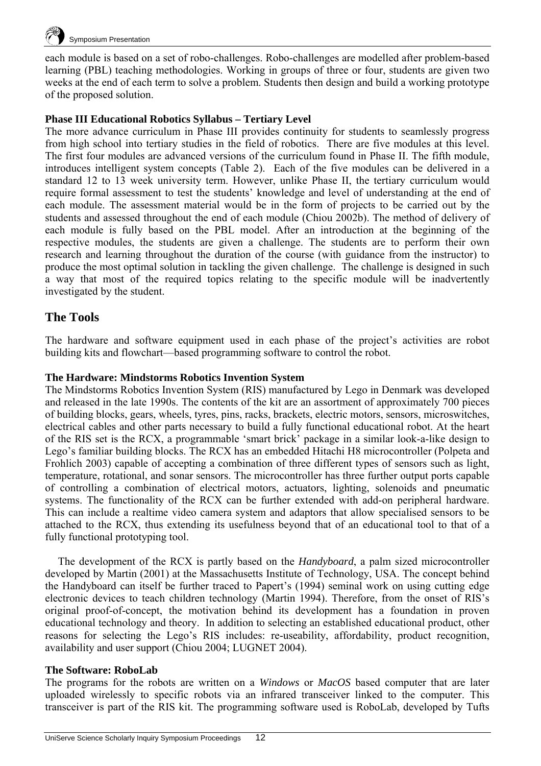

each module is based on a set of robo-challenges. Robo-challenges are modelled after problem-based learning (PBL) teaching methodologies. Working in groups of three or four, students are given two weeks at the end of each term to solve a problem. Students then design and build a working prototype of the proposed solution.

#### **Phase III Educational Robotics Syllabus – Tertiary Level**

The more advance curriculum in Phase III provides continuity for students to seamlessly progress from high school into tertiary studies in the field of robotics. There are five modules at this level. The first four modules are advanced versions of the curriculum found in Phase II. The fifth module, introduces intelligent system concepts (Table 2). Each of the five modules can be delivered in a standard 12 to 13 week university term. However, unlike Phase II, the tertiary curriculum would require formal assessment to test the students' knowledge and level of understanding at the end of each module. The assessment material would be in the form of projects to be carried out by the students and assessed throughout the end of each module (Chiou 2002b). The method of delivery of each module is fully based on the PBL model. After an introduction at the beginning of the respective modules, the students are given a challenge. The students are to perform their own research and learning throughout the duration of the course (with guidance from the instructor) to produce the most optimal solution in tackling the given challenge. The challenge is designed in such a way that most of the required topics relating to the specific module will be inadvertently investigated by the student.

## **The Tools**

The hardware and software equipment used in each phase of the project's activities are robot building kits and flowchart—based programming software to control the robot.

#### **The Hardware: Mindstorms Robotics Invention System**

The Mindstorms Robotics Invention System (RIS) manufactured by Lego in Denmark was developed and released in the late 1990s. The contents of the kit are an assortment of approximately 700 pieces of building blocks, gears, wheels, tyres, pins, racks, brackets, electric motors, sensors, microswitches, electrical cables and other parts necessary to build a fully functional educational robot. At the heart of the RIS set is the RCX, a programmable 'smart brick' package in a similar look-a-like design to Lego's familiar building blocks. The RCX has an embedded Hitachi H8 microcontroller (Polpeta and Frohlich 2003) capable of accepting a combination of three different types of sensors such as light, temperature, rotational, and sonar sensors. The microcontroller has three further output ports capable of controlling a combination of electrical motors, actuators, lighting, solenoids and pneumatic systems. The functionality of the RCX can be further extended with add-on peripheral hardware. This can include a realtime video camera system and adaptors that allow specialised sensors to be attached to the RCX, thus extending its usefulness beyond that of an educational tool to that of a fully functional prototyping tool.

The development of the RCX is partly based on the *Handyboard*, a palm sized microcontroller developed by Martin (2001) at the Massachusetts Institute of Technology, USA. The concept behind the Handyboard can itself be further traced to Papert's (1994) seminal work on using cutting edge electronic devices to teach children technology (Martin 1994). Therefore, from the onset of RIS's original proof-of-concept, the motivation behind its development has a foundation in proven educational technology and theory. In addition to selecting an established educational product, other reasons for selecting the Lego's RIS includes: re-useability, affordability, product recognition, availability and user support (Chiou 2004; LUGNET 2004).

#### **The Software: RoboLab**

The programs for the robots are written on a *Windows* or *MacOS* based computer that are later uploaded wirelessly to specific robots via an infrared transceiver linked to the computer. This transceiver is part of the RIS kit. The programming software used is RoboLab, developed by Tufts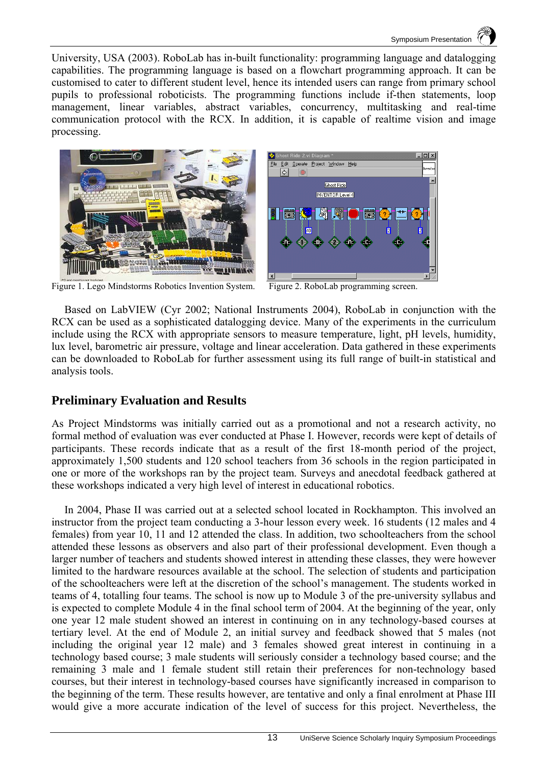University, USA (2003). RoboLab has in-built functionality: programming language and datalogging capabilities. The programming language is based on a flowchart programming approach. It can be customised to cater to different student level, hence its intended users can range from primary school pupils to professional roboticists. The programming functions include if-then statements, loop management, linear variables, abstract variables, concurrency, multitasking and real-time communication protocol with the RCX. In addition, it is capable of realtime vision and image processing.





Figure 1. Lego Mindstorms Robotics Invention System. Figure 2. RoboLab programming screen.

Based on LabVIEW (Cyr 2002; National Instruments 2004), RoboLab in conjunction with the RCX can be used as a sophisticated datalogging device. Many of the experiments in the curriculum include using the RCX with appropriate sensors to measure temperature, light, pH levels, humidity, lux level, barometric air pressure, voltage and linear acceleration. Data gathered in these experiments can be downloaded to RoboLab for further assessment using its full range of built-in statistical and analysis tools.

## **Preliminary Evaluation and Results**

As Project Mindstorms was initially carried out as a promotional and not a research activity, no formal method of evaluation was ever conducted at Phase I. However, records were kept of details of participants. These records indicate that as a result of the first 18-month period of the project, approximately 1,500 students and 120 school teachers from 36 schools in the region participated in one or more of the workshops ran by the project team. Surveys and anecdotal feedback gathered at these workshops indicated a very high level of interest in educational robotics.

In 2004, Phase II was carried out at a selected school located in Rockhampton. This involved an instructor from the project team conducting a 3-hour lesson every week. 16 students (12 males and 4 females) from year 10, 11 and 12 attended the class. In addition, two schoolteachers from the school attended these lessons as observers and also part of their professional development. Even though a larger number of teachers and students showed interest in attending these classes, they were however limited to the hardware resources available at the school. The selection of students and participation of the schoolteachers were left at the discretion of the school's management. The students worked in teams of 4, totalling four teams. The school is now up to Module 3 of the pre-university syllabus and is expected to complete Module 4 in the final school term of 2004. At the beginning of the year, only one year 12 male student showed an interest in continuing on in any technology-based courses at tertiary level. At the end of Module 2, an initial survey and feedback showed that 5 males (not including the original year 12 male) and 3 females showed great interest in continuing in a technology based course; 3 male students will seriously consider a technology based course; and the remaining 3 male and 1 female student still retain their preferences for non-technology based courses, but their interest in technology-based courses have significantly increased in comparison to the beginning of the term. These results however, are tentative and only a final enrolment at Phase III would give a more accurate indication of the level of success for this project. Nevertheless, the